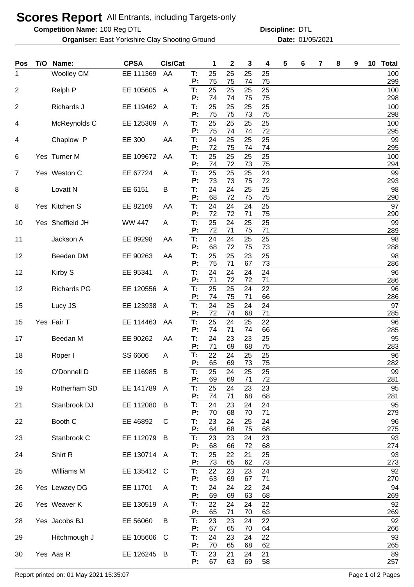## **Scores Report** All Entrants, including Targets-only

**Competition Name:**

**Organiser:** East Yorkshire Clay Shooting Ground **Date:** 01/05/2021

100 Reg DTL **Discipline:** DTL

| Pos | T/O | Name:               | <b>CPSA</b>   | CIs/Cat      |          | 1        | $\boldsymbol{2}$ | 3        | 4        | 5 | 6 | 7 | 8 | 9 | 10 | <b>Total</b> |
|-----|-----|---------------------|---------------|--------------|----------|----------|------------------|----------|----------|---|---|---|---|---|----|--------------|
| 1   |     | <b>Woolley CM</b>   | EE 111369     | AA           | Т:<br>P: | 25<br>75 | 25<br>75         | 25<br>74 | 25<br>75 |   |   |   |   |   |    | 100<br>299   |
| 2   |     | Relph P             | EE 105605     | $\mathsf{A}$ | T:       | 25       | 25               | 25       | 25       |   |   |   |   |   |    | 100          |
| 2   |     | Richards J          | EE 119462     | A            | P:<br>T: | 74<br>25 | 74<br>25         | 75<br>25 | 75<br>25 |   |   |   |   |   |    | 298<br>100   |
| 4   |     | McReynolds C        | EE 125309     | A            | P:<br>T: | 75<br>25 | 75<br>25         | 73<br>25 | 75<br>25 |   |   |   |   |   |    | 298<br>100   |
|     |     |                     |               |              | P:       | 75       | 74               | 74       | 72       |   |   |   |   |   |    | 295          |
| 4   |     | Chaplow P           | EE 300        | AA           | Т:<br>P: | 24<br>72 | 25<br>75         | 25<br>74 | 25<br>74 |   |   |   |   |   |    | 99<br>295    |
| 6   |     | Yes Turner M        | EE 109672     | AA           | Т:<br>P: | 25<br>74 | 25<br>72         | 25<br>73 | 25<br>75 |   |   |   |   |   |    | 100<br>294   |
| 7   |     | Yes Weston C        | EE 67724      | A            | T:<br>P: | 25<br>73 | 25<br>73         | 25<br>75 | 24<br>72 |   |   |   |   |   |    | 99<br>293    |
| 8   |     | Lovatt <sub>N</sub> | EE 6151       | B            | T:       | 24       | 24               | 25       | 25       |   |   |   |   |   |    | 98           |
| 8   |     | Yes Kitchen S       | EE 82169      | AA           | P:<br>T: | 68<br>24 | 72<br>24         | 75<br>24 | 75<br>25 |   |   |   |   |   |    | 290<br>97    |
|     |     |                     |               |              | P:       | 72       | 72               | 71       | 75       |   |   |   |   |   |    | 290          |
| 10  |     | Yes Sheffield JH    | <b>WW 447</b> | A            | T:<br>P: | 25<br>72 | 24<br>71         | 25<br>75 | 25<br>71 |   |   |   |   |   |    | 99<br>289    |
| 11  |     | Jackson A           | EE 89298      | AA           | T:<br>P: | 24<br>68 | 24<br>72         | 25<br>75 | 25<br>73 |   |   |   |   |   |    | 98<br>288    |
| 12  |     | Beedan DM           | EE 90263      | AA           | T:       | 25       | 25               | 23       | 25       |   |   |   |   |   |    | 98           |
| 12  |     | Kirby S             | EE 95341      | A            | P:<br>T: | 75<br>24 | 71<br>24         | 67<br>24 | 73<br>24 |   |   |   |   |   |    | 286<br>96    |
| 12  |     | <b>Richards PG</b>  | EE 120556     |              | P:<br>T: | 71<br>25 | 72<br>25         | 72<br>24 | 71<br>22 |   |   |   |   |   |    | 286<br>96    |
|     |     |                     |               | A            | P:       | 74       | 75               | 71       | 66       |   |   |   |   |   |    | 286          |
| 15  |     | Lucy JS             | EE 123938     | A            | T:<br>P: | 24<br>72 | 25<br>74         | 24<br>68 | 24<br>71 |   |   |   |   |   |    | 97<br>285    |
| 15  |     | Yes Fair T          | EE 114463     | AA           | T:       | 25       | 24               | 25       | 22       |   |   |   |   |   |    | 96           |
| 17  |     | Beedan M            | EE 90262      | AA           | P:<br>T: | 74<br>24 | 71<br>23         | 74<br>23 | 66<br>25 |   |   |   |   |   |    | 285<br>95    |
| 18  |     | Roper I             | SS 6606       | A            | P:<br>T: | 71<br>22 | 69<br>24         | 68<br>25 | 75<br>25 |   |   |   |   |   |    | 283<br>96    |
|     |     |                     |               |              | P:       | 65       | 69               | 73       | 75       |   |   |   |   |   |    | 282          |
| 19  |     | O'Donnell D         | EE 116985 B   |              | т:<br>P: | 25<br>69 | 24<br>69         | 25<br>71 | 25<br>72 |   |   |   |   |   |    | 99<br>281    |
| 19  |     | Rotherham SD        | EE 141789 A   |              | T.<br>P: | 25<br>74 | 24<br>71         | 23<br>68 | 23<br>68 |   |   |   |   |   |    | 95<br>281    |
| 21  |     | Stanbrook DJ        | EE 112080     | B            | T:       | 24       | 23               | 24       | 24       |   |   |   |   |   |    | 95           |
| 22  |     | Booth C             | EE 46892      | C            | P:<br>T: | 70<br>23 | 68<br>24         | 70<br>25 | 71<br>24 |   |   |   |   |   |    | 279<br>96    |
| 23  |     | Stanbrook C         | EE 112079     | B            | P:<br>T: | 64<br>23 | 68<br>23         | 75<br>24 | 68<br>23 |   |   |   |   |   |    | 275<br>93    |
|     |     |                     |               |              | P:       | 68       | 66               | 72       | 68       |   |   |   |   |   |    | 274          |
| 24  |     | Shirt R             | EE 130714 A   |              | T:<br>P: | 25<br>73 | 22<br>65         | 21<br>62 | 25<br>73 |   |   |   |   |   |    | 93<br>273    |
| 25  |     | Williams M          | EE 135412     | <sub>C</sub> | T:<br>P: | 22       | 23               | 23       | 24       |   |   |   |   |   |    | 92           |
| 26  |     | Yes Lewzey DG       | EE 11701      | A            | T:       | 63<br>24 | 69<br>24         | 67<br>22 | 71<br>24 |   |   |   |   |   |    | 270<br>94    |
| 26  |     | Yes Weaver K        | EE 130519     | $\mathsf{A}$ | P:<br>T: | 69<br>22 | 69<br>24         | 63<br>24 | 68<br>22 |   |   |   |   |   |    | 269<br>92    |
|     |     |                     |               |              | P:       | 65       | 71               | 70       | 63       |   |   |   |   |   |    | 269          |
| 28  |     | Yes Jacobs BJ       | EE 56060      | B            | T:<br>Ρ. | 23<br>67 | 23<br>65         | 24<br>70 | 22<br>64 |   |   |   |   |   |    | 92<br>266    |
| 29  |     | Hitchmough J        | EE 105606     | C            | T:<br>P: | 24<br>70 | 23<br>65         | 24<br>68 | 22<br>62 |   |   |   |   |   |    | 93<br>265    |
| 30  |     | Yes Aas R           | EE 126245     | - B          | Т.       | 23       | 21               | 24       | 21       |   |   |   |   |   |    | 89           |
|     |     |                     |               |              | P:       | 67       | 63               | 69       | 58       |   |   |   |   |   |    | 257          |

Report printed on: 01 May 2021 15:35:07 Page 1 of 2 Pages